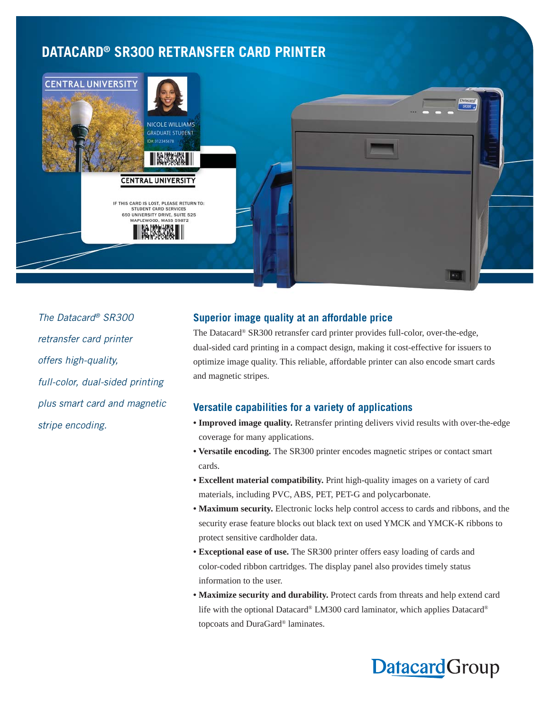## **DATACARD® SR300 RETRANSFER CARD PRINTER**



The Datacard® SR300 retransfer card printer offers high-quality, full-color, dual-sided printing plus smart card and magnetic stripe encoding.

## **Superior image quality at an affordable price**

The Datacard® SR300 retransfer card printer provides full-color, over-the-edge, dual-sided card printing in a compact design, making it cost-effective for issuers to optimize image quality. This reliable, affordable printer can also encode smart cards and magnetic stripes.

## **Versatile capabilities for a variety of applications**

- **Improved image quality.** Retransfer printing delivers vivid results with over-the-edge coverage for many applications.
- **Versatile encoding.** The SR300 printer encodes magnetic stripes or contact smart cards.
- **Excellent material compatibility.** Print high-quality images on a variety of card materials, including PVC, ABS, PET, PET-G and polycarbonate.
- **Maximum security.** Electronic locks help control access to cards and ribbons, and the security erase feature blocks out black text on used YMCK and YMCK-K ribbons to protect sensitive cardholder data.
- **Exceptional ease of use.** The SR300 printer offers easy loading of cards and color-coded ribbon cartridges. The display panel also provides timely status information to the user.
- **Maximize security and durability.** Protect cards from threats and help extend card life with the optional Datacard® LM300 card laminator, which applies Datacard® topcoats and DuraGard® laminates.